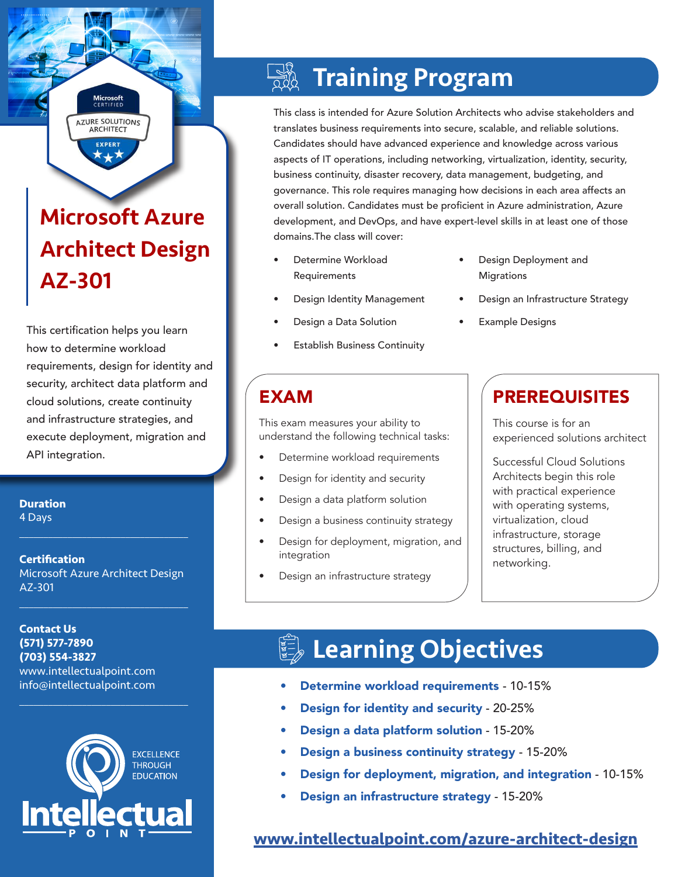# Microsoft Azure Architect Design AZ-301

**Microsoft**<br>CERTIFIED **AZURE SOLUTIONS ARCHITECT EXPERT** 

This certification helps you learn how to determine workload requirements, design for identity and security, architect data platform and cloud solutions, create continuity and infrastructure strategies, and execute deployment, migration and API integration.

**Duration**

4 Days

#### **Certification** Microsoft Azure Architect Design AZ-301

 $\mathcal{L}_\text{max}$  , and the set of the set of the set of the set of the set of the set of the set of the set of the set of the set of the set of the set of the set of the set of the set of the set of the set of the set of the

 $\mathcal{L}_\text{max}$  , and the set of the set of the set of the set of the set of the set of the set of the set of the set of the set of the set of the set of the set of the set of the set of the set of the set of the set of the

**Contact Us (571) 577-7890 (703) 554-3827** www.intellectualpoint.com info@intellectualpoint.com



 $\mathcal{L}_\text{max}$  and  $\mathcal{L}_\text{max}$  and  $\mathcal{L}_\text{max}$  and  $\mathcal{L}_\text{max}$ 

# Training Program

This class is intended for Azure Solution Architects who advise stakeholders and translates business requirements into secure, scalable, and reliable solutions. Candidates should have advanced experience and knowledge across various aspects of IT operations, including networking, virtualization, identity, security, business continuity, disaster recovery, data management, budgeting, and governance. This role requires managing how decisions in each area affects an overall solution. Candidates must be proficient in Azure administration, Azure development, and DevOps, and have expert-level skills in at least one of those domains.The class will cover:

- Determine Workload Requirements
- Design Identity Management
- Design a Data Solution
- **Establish Business Continuity**
- Design Deployment and **Migrations**
- Design an Infrastructure Strategy
- **Example Designs**

This exam measures your ability to understand the following technical tasks:

- Determine workload requirements
- Design for identity and security
- Design a data platform solution
- Design a business continuity strategy
- Design for deployment, migration, and integration
- Design an infrastructure strategy

# EXAM PREREQUISITES

This course is for an experienced solutions architect

Successful Cloud Solutions Architects begin this role with practical experience with operating systems, virtualization, cloud infrastructure, storage structures, billing, and networking.

# **Learning Objectives**

- Determine workload requirements 10-15%
- Design for identity and security 20-25%
- Design a data platform solution 15-20%
- Design a business continuity strategy 15-20%
- Design for deployment, migration, and integration 10-15%
- Design an infrastructure strategy 15-20%

### **[www.intellectualpoint.com/azure-architect-design](http://intellectualpoint.com/azure-architect-design)**